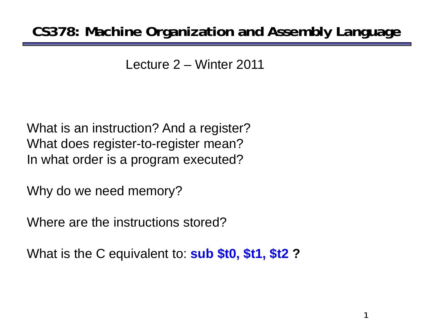### **CS378: Machine Organization and Assembly Language**

Lecture 2 – Winter 2011

What is an instruction? And a register? What does register-to-register mean? In what order is a program executed?

Why do we need memory?

Where are the instructions stored?

What is the C equivalent to: **sub \$t0, \$t1, \$t2 ?**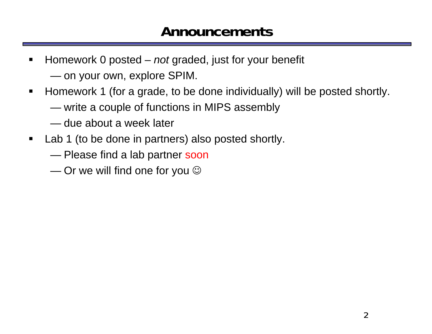#### **Announcements**

- $\blacksquare$  Homework 0 posted – *not* graded, just for your benefit  $\sim$ on your own, explore SPIM.
- $\blacksquare$  Homework 1 (for a grade, to be done individually) will be posted shortly. ——————————————— write a couple of functions in MIPS assembly
	- due about a week later
- $\blacksquare$  Lab 1 (to be done in partners) also posted shortly.
	- ———————————————— Please find a lab partner soon
	- $\sim$ Or we will find one for you  $\odot$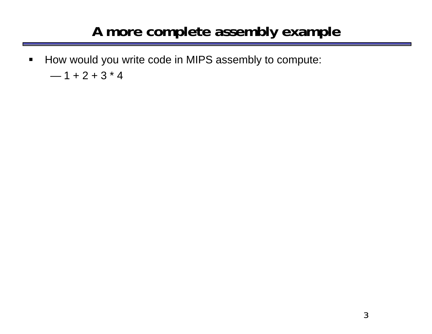#### **A more complete assembly example**

 $\blacksquare$  How would you write code in MIPS assembly to compute: — 1 + 2 + 3 \* 4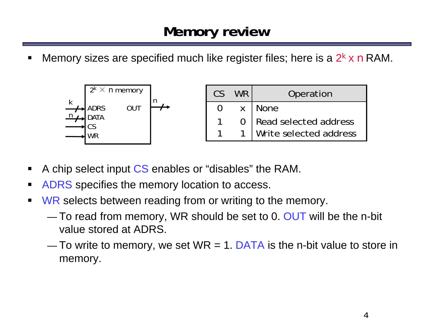ш Memory sizes are specified much like register files; here is a 2*<sup>k</sup>* <sup>x</sup>*<sup>n</sup>* RAM.



- $\blacksquare$ A chip select input CS enables or "disables" the RAM.
- П **ADRS** specifies the memory location to access.
- $\blacksquare$ **WR** selects between reading from or writing to the memory.
	- — $-$  To read from memory, WR should be set to 0. OUT will be the n-bit value stored at ADRS.
	- — $-$  To write to memory, we set WR = 1. DATA is the n-bit value to store in memory.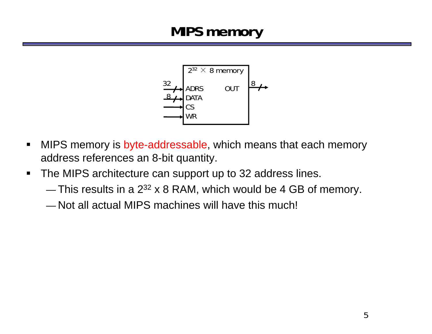### **MIPS memory**



- $\blacksquare$  MIPS memory is byte-addressable, which means that each memory address references an 8-bit quantity.
- $\blacksquare$  The MIPS architecture can support up to 32 address lines.
	- — $-$  This results in a 2 $^{32}$  x 8 RAM, which would be 4 GB of memory.
	- Not all actual MIPS machines will have this much!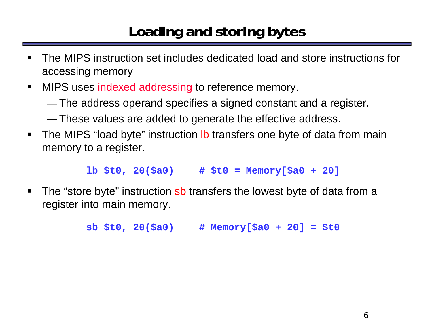# **Loading and storing bytes**

- $\blacksquare$  The MIPS instruction set includes dedicated load and store instructions for accessing memory
- **NIPS uses indexed addressing to reference memory.** 
	- —The address operand specifies a signed constant and a register.
	- —These values are added to generate the effective address.
- $\blacksquare$ The MIPS "load byte" instruction **lb** transfers one byte of data from main memory to a register.

**lb \$t0, 20(\$a0) # \$t0 = Memory[\$a0 + 20]**

 $\blacksquare$ The "store byte" instruction sb transfers the lowest byte of data from a register into main memory.

**sb \$t0, 20(\$a0) # Memory[\$a0 + 20] = \$t0**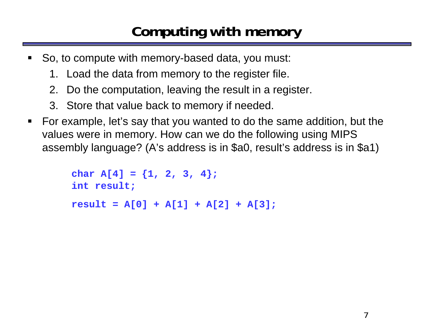### **Computing with memory**

- $\blacksquare$  So, to compute with memory-based data, you must:
	- 1. Load the data from memory to the register file.
	- 2. Do the computation, leaving the result in a register.
	- 3. Store that value back to memory if needed.
- For example, let's say that you wanted to do the same addition, but the values were in memory. How can we do the following using MIPS assembly language? (A's address is in \$a0, result's address is in \$a1)

```
char A[4] = {1, 2, 3, 4};
int result;
result = A[0] + A[1] + A[2] + A[3];
```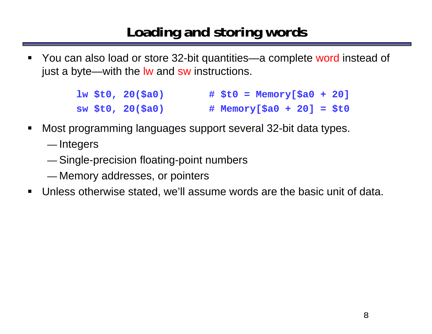#### **Loading and storing words**

ш You can also load or store 32-bit quantities—a complete word instead of just a byte—with the lw and sw instructions.

> **lw \$t0, 20(\$a0) # \$t0 = Memory[\$a0 + 20] sw \$t0, 20(\$a0) # Memory[\$a0 + 20] = \$t0**

- $\blacksquare$  Most programming languages support several 32-bit data types.
	- —— Integers
	- —Single-precision floating-point numbers
	- —Memory addresses, or pointers
- $\blacksquare$ Unless otherwise stated, we'll assume words are the basic unit of data.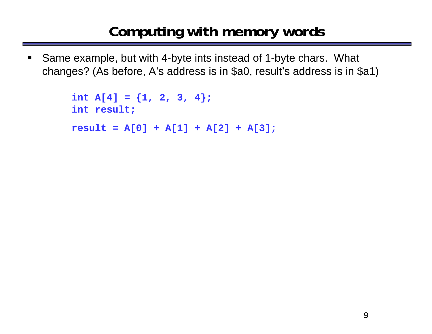### **Computing with memory words**

 $\blacksquare$  Same example, but with 4-byte ints instead of 1-byte chars. What changes? (As before, A's address is in \$a0, result's address is in \$a1)

```
int A[4] = \{1, 2, 3, 4\};
int result;
result = A[0] + A[1] + A[2] + A[3];
```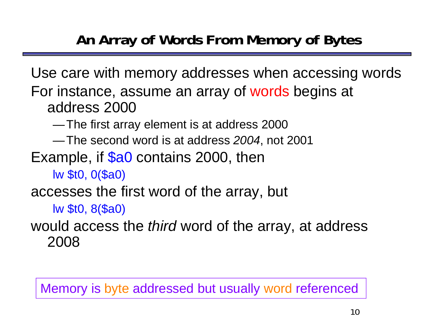## **An Array of Words From Memory of Bytes**

Use care with memory addresses when accessing words For instance, assume an array of words begins at address 2000

—The first array element is at address 2000

—The second word is at address *2004*, not 2001

Example, if **\$a0** contains 2000, then

lw \$t0, 0(\$a0)

accesses the first word of the array, but

lw \$t0, 8(\$a0)

would access the *third* word of the array, at address 2008

Memory is byte addressed but usually word referenced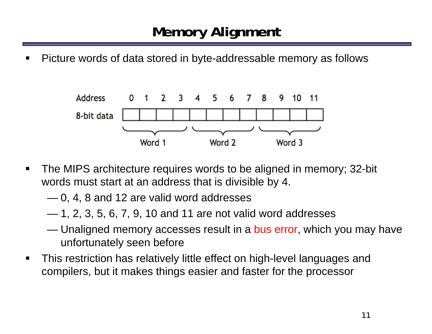## **Memory Alignment**

 $\blacksquare$ Picture words of data stored in byte-addressable memory as follows



- $\blacksquare$  The MIPS architecture requires words to be aligned in memory; 32-bit words must start at an address that is divisible by 4.
	- 0, 4, 8 and 12 are valid word addresses
	- 1, 2, 3, 5, 6, 7, 9, 10 and 11 are not valid word addresses
	- **However, Marketing Committee** Unaligned memory accesses result in a bus error, which you may have unfortunately seen before
- $\blacksquare$  This restriction has relatively little effect on high-level languages and compilers, but it makes things easier and faster for the processor